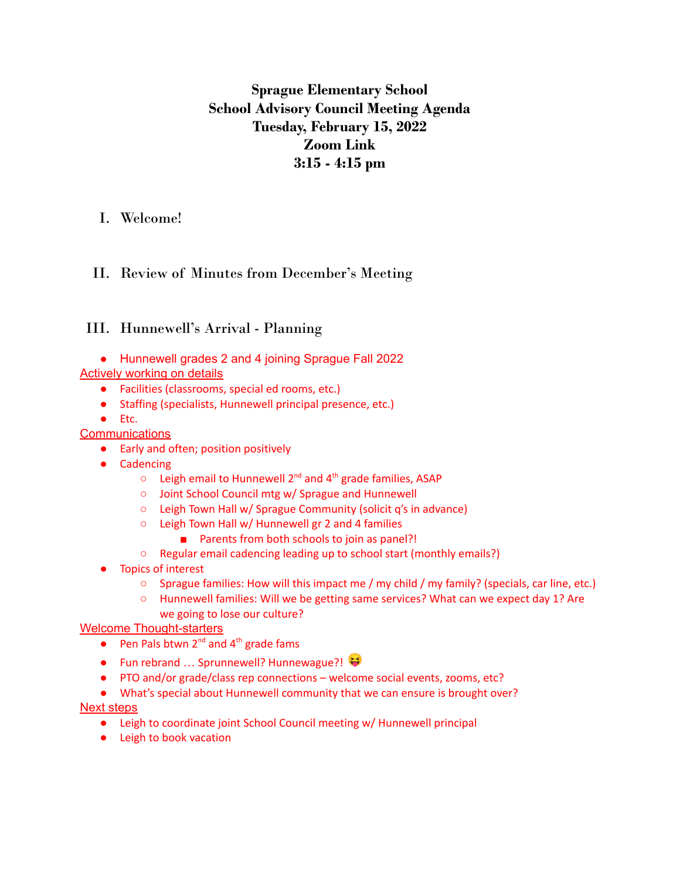# **Sprague Elementary School School Advisory Council Meeting Agenda Tuesday, February 15, 2022 Zoom Link 3:15 - 4:15 pm**

## I. Welcome!

# II. Review of Minutes from December's Meeting

## III. Hunnewell's Arrival - Planning

● Hunnewell grades 2 and 4 joining Sprague Fall 2022

### Actively working on details

- Facilities (classrooms, special ed rooms, etc.)
- Staffing (specialists, Hunnewell principal presence, etc.)
- Etc.

#### **Communications**

- Early and often; position positively
- Cadencing
	- $\circ$  Leigh email to Hunnewell 2<sup>nd</sup> and 4<sup>th</sup> grade families, ASAP
	- Joint School Council mtg w/ Sprague and Hunnewell
	- Leigh Town Hall w/ Sprague Community (solicit q's in advance)
	- Leigh Town Hall w/ Hunnewell gr 2 and 4 families
		- Parents from both schools to join as panel?!
	- Regular email cadencing leading up to school start (monthly emails?)
- **Topics of interest** 
	- Sprague families: How will this impact me / my child / my family? (specials, car line, etc.)
	- Hunnewell families: Will we be getting same services? What can we expect day 1? Are we going to lose our culture?

### Welcome Thought-starters

- Pen Pals btwn  $2^{nd}$  and  $4^{th}$  grade fams
- Fun rebrand ... Sprunnewell? Hunnewague?!
- PTO and/or grade/class rep connections welcome social events, zooms, etc?
- What's special about Hunnewell community that we can ensure is brought over?

#### Next steps

- Leigh to coordinate joint School Council meeting w/ Hunnewell principal
- Leigh to book vacation